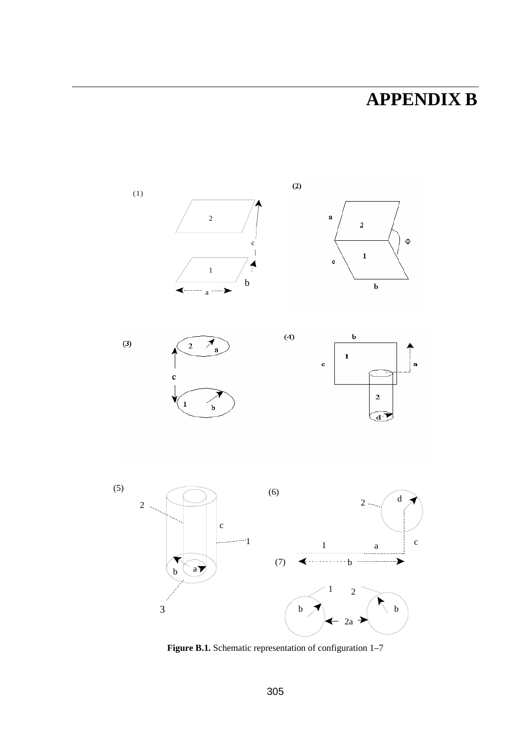## **APPENDIX B**



Figure B.1. Schematic representation of configuration 1-7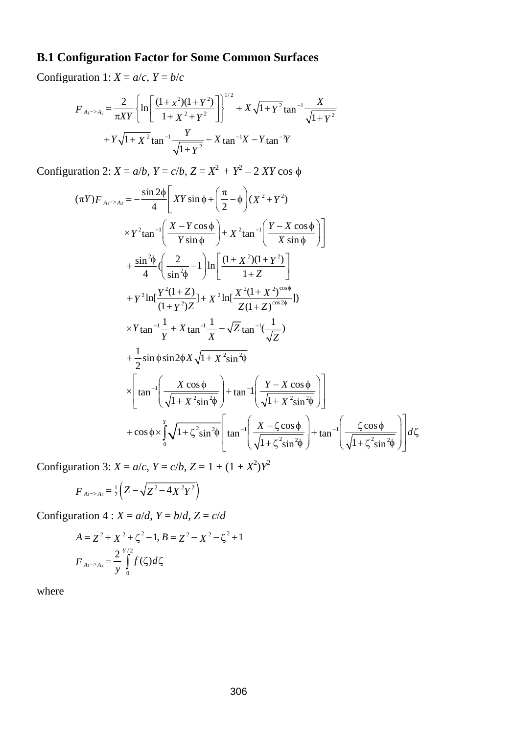## **B.1 Configuration Factor for Some Common Surfaces**

Configuration 1:  $X = a/c$ ,  $Y = b/c$ 

$$
F_{A_1 \to A_2} = \frac{2}{\pi XY} \left\{ \ln \left[ \frac{(1+x^2)(1+Y^2)}{1+X^2+Y^2} \right] \right\}^{1/2} + X \sqrt{1+Y^2} \tan^{-1} \frac{X}{\sqrt{1+Y^2}} + Y \sqrt{1+X^2} \tan^{-1} \frac{Y}{\sqrt{1+Y^2}} - X \tan^{-1} X - Y \tan^{-1} Y
$$

Configuration 2: *X* = *a*/*b*, *Y* = *c*/*b*, *Z* = *X*<sup>2</sup> + *Y*<sup>2</sup> – 2 *XY* cos φ

$$
(\pi Y)F_{A_1 \to A_2} = -\frac{\sin 2\phi}{4} \left[ XY \sin \phi + \left( \frac{\pi}{2} - \phi \right) (X^2 + Y^2) \right.\times Y^2 \tan^{-1} \left( \frac{X - Y \cos \phi}{Y \sin \phi} \right) + X^2 \tan^{-1} \left( \frac{Y - X \cos \phi}{X \sin \phi} \right) \right]+ \frac{\sin^2 \phi}{4} \left( \frac{2}{\sin^2 \phi} - 1 \right) \ln \left[ \frac{(1 + X^2)(1 + Y^2)}{1 + Z} \right]+ Y^2 \ln \left[ \frac{Y^2(1 + Z)}{(1 + Y^2)Z} \right] + X^2 \ln \left[ \frac{X^2(1 + X^2)^{\cos \phi}}{Z(1 + Z)^{\cos 2\phi}} \right])\times Y \tan^{-1} \frac{1}{Y} + X \tan^{-1} \frac{1}{X} - \sqrt{Z} \tan^{-1} \left( \frac{1}{\sqrt{Z}} \right)+ \frac{1}{2} \sin \phi \sin 2\phi X \sqrt{1 + X^2 \sin^2 \phi} \times \left[ \tan^{-1} \left( \frac{X \cos \phi}{\sqrt{1 + X^2 \sin^2 \phi}} \right) + \tan^{-1} \left( \frac{Y - X \cos \phi}{\sqrt{1 + X^2 \sin^2 \phi}} \right) \right] + \cos \phi \times \int_{0}^{Y} \sqrt{1 + \zeta^2 \sin^2 \phi} \left[ \tan^{-1} \left( \frac{X - \zeta \cos \phi}{\sqrt{1 + \zeta^2 \sin^2 \phi}} \right) + \tan^{-1} \left( \frac{\zeta \cos \phi}{\sqrt{1 + \zeta^2 \sin^2 \phi}} \right) \right] d\zeta
$$

Configuration 3:  $X = a/c$ ,  $Y = c/b$ ,  $Z = 1 + (1 + X^2)Y^2$ 

$$
F_{A_1 \to A_2} = \frac{1}{2} \left( Z - \sqrt{Z^2 - 4X^2 Y^2} \right)
$$

Configuration  $4: X = a/d, Y = b/d, Z = c/d$ 

$$
A = Z^2 + X^2 + \zeta^2 - 1, B = Z^2 - X^2 - \zeta^2 + 1
$$
  

$$
F_{A_1 \to A_2} = \frac{2}{y} \int_0^{y/2} f(\zeta) d\zeta
$$

where